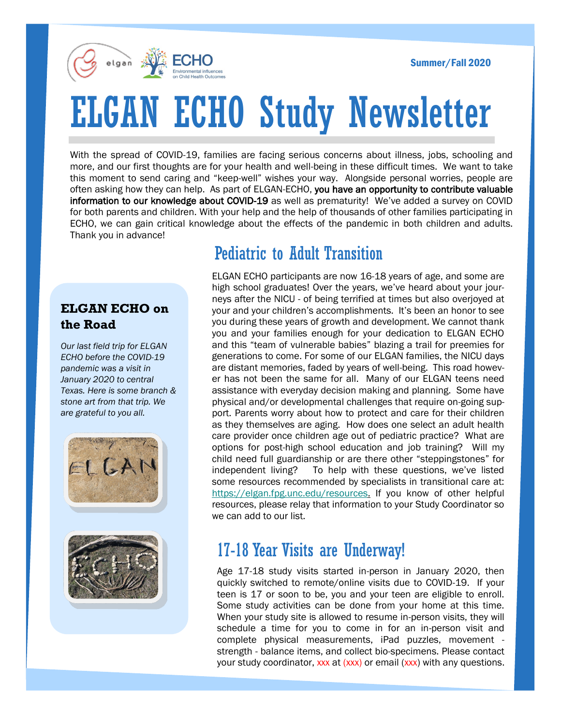Summer/Fall 2020



# ELGAN ECHO Study Newsletter

With the spread of COVID-19, families are facing serious concerns about illness, jobs, schooling and more, and our first thoughts are for your health and well-being in these difficult times. We want to take this moment to send caring and "keep-well" wishes your way. Alongside personal worries, people are often asking how they can help. As part of ELGAN-ECHO, you have an opportunity to contribute valuable information to our knowledge about COVID-19 as well as prematurity! We've added a survey on COVID for both parents and children. With your help and the help of thousands of other families participating in ECHO, we can gain critical knowledge about the effects of the pandemic in both children and adults. Thank you in advance!

#### **ELGAN ECHO on the Road**

*Our last field trip for ELGAN ECHO before the COVID-19 pandemic was a visit in January 2020 to central Texas. Here is some branch & stone art from that trip. We are grateful to you all.*





### Pediatric to Adult Transition

ELGAN ECHO participants are now 16-18 years of age, and some are high school graduates! Over the years, we've heard about your journeys after the NICU - of being terrified at times but also overjoyed at your and your children's accomplishments. It's been an honor to see you during these years of growth and development. We cannot thank you and your families enough for your dedication to ELGAN ECHO and this "team of vulnerable babies" blazing a trail for preemies for generations to come. For some of our ELGAN families, the NICU days are distant memories, faded by years of well-being. This road however has not been the same for all. Many of our ELGAN teens need assistance with everyday decision making and planning. Some have physical and/or developmental challenges that require on-going support. Parents worry about how to protect and care for their children as they themselves are aging. How does one select an adult health care provider once children age out of pediatric practice? What are options for post-high school education and job training? Will my child need full guardianship or are there other "steppingstones" for independent living? To help with these questions, we've listed some resources recommended by specialists in transitional care at: [https://elgan.fpg.unc.edu/resources.](https://elgan.fpg.unc.edu/resources) If you know of other helpful resources, please relay that information to your Study Coordinator so we can add to our list.

#### 17-18 Year Visits are Underway!

Age 17-18 study visits started in-person in January 2020, then quickly switched to remote/online visits due to COVID-19. If your teen is 17 or soon to be, you and your teen are eligible to enroll. Some study activities can be done from your home at this time. When your study site is allowed to resume in-person visits, they will schedule a time for you to come in for an in-person visit and complete physical measurements, iPad puzzles, movement strength - balance items, and collect bio-specimens. Please contact your study coordinator, xxx at (xxx) or email (xxx) with any questions.